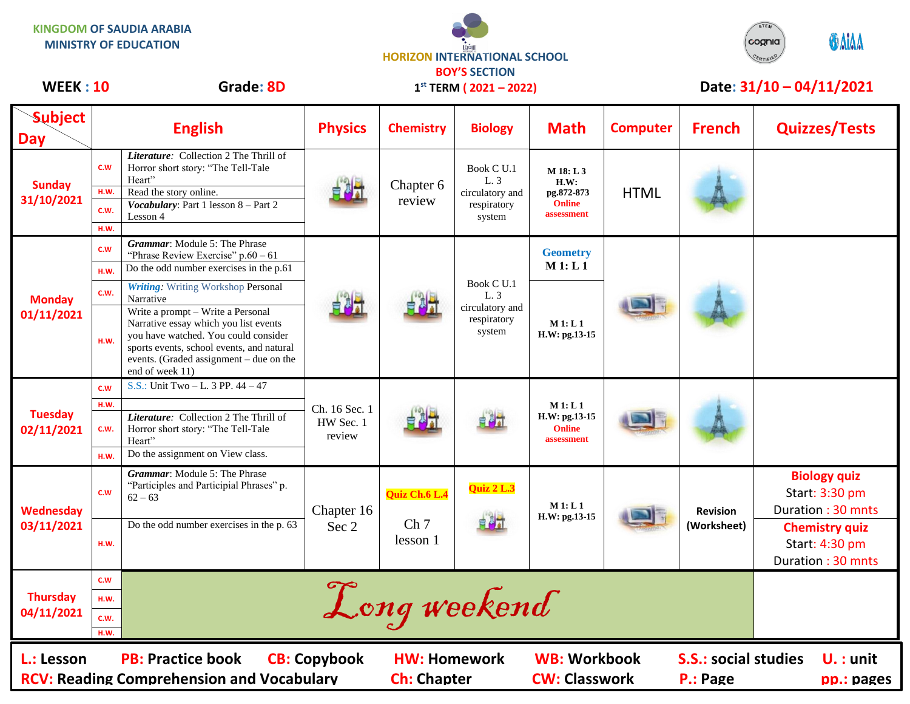**KINGDOM OF SAUDIA ARABIA MINISTRY OF EDUCATION**





## WEEK : 10 Grade: 8D 1<sup>st</sup> TERM (2021 – 2022) Date: 31/10 – 04/11/2021

| <b>Subject</b><br><b>Day</b>                                                                                                                                                                                                                             |            | <b>English</b>                                                                                                                                                                                                                | <b>Physics</b>                       | <b>Chemistry</b>                             | <b>Biology</b>                                                 | <b>Math</b>                                                    | <b>Computer</b> | <b>French</b>                  | <b>Quizzes/Tests</b>                                         |
|----------------------------------------------------------------------------------------------------------------------------------------------------------------------------------------------------------------------------------------------------------|------------|-------------------------------------------------------------------------------------------------------------------------------------------------------------------------------------------------------------------------------|--------------------------------------|----------------------------------------------|----------------------------------------------------------------|----------------------------------------------------------------|-----------------|--------------------------------|--------------------------------------------------------------|
| <b>Sunday</b><br>31/10/2021                                                                                                                                                                                                                              | <b>C.W</b> | Literature: Collection 2 The Thrill of<br>Horror short story: "The Tell-Tale<br>Heart"                                                                                                                                        |                                      | Chapter 6<br>review                          | Book C U.1<br>L. 3<br>circulatory and<br>respiratory<br>system | M 18: L 3<br>H.W:<br>pg.872-873<br><b>Online</b><br>assessment | <b>HTML</b>     |                                |                                                              |
|                                                                                                                                                                                                                                                          | H.W.       | Read the story online.<br>Vocabulary: Part 1 lesson 8 - Part 2                                                                                                                                                                |                                      |                                              |                                                                |                                                                |                 |                                |                                                              |
|                                                                                                                                                                                                                                                          | C.W.       | Lesson 4                                                                                                                                                                                                                      |                                      |                                              |                                                                |                                                                |                 |                                |                                                              |
|                                                                                                                                                                                                                                                          | H.W.       |                                                                                                                                                                                                                               |                                      |                                              |                                                                |                                                                |                 |                                |                                                              |
| <b>Monday</b><br>01/11/2021                                                                                                                                                                                                                              | <b>C.W</b> | Grammar: Module 5: The Phrase<br>"Phrase Review Exercise" $p.60 - 61$                                                                                                                                                         |                                      |                                              | Book C U.1<br>L. 3<br>circulatory and<br>respiratory<br>system | <b>Geometry</b><br>M 1: L 1                                    |                 |                                |                                                              |
|                                                                                                                                                                                                                                                          | H.W.       | Do the odd number exercises in the p.61                                                                                                                                                                                       |                                      |                                              |                                                                |                                                                |                 |                                |                                                              |
|                                                                                                                                                                                                                                                          | C.W.       | <b>Writing:</b> Writing Workshop Personal<br>Narrative                                                                                                                                                                        |                                      |                                              |                                                                |                                                                |                 |                                |                                                              |
|                                                                                                                                                                                                                                                          | H.W.       | Write a prompt - Write a Personal<br>Narrative essay which you list events<br>you have watched. You could consider<br>sports events, school events, and natural<br>events. (Graded assignment - due on the<br>end of week 11) |                                      |                                              |                                                                | M1: L1<br>H.W: pg.13-15                                        |                 |                                |                                                              |
| <b>Tuesday</b><br>02/11/2021                                                                                                                                                                                                                             | C.W        | S.S.: Unit Two - L. 3 PP. $44 - 47$                                                                                                                                                                                           | Ch. 16 Sec. 1<br>HW Sec. 1<br>review |                                              |                                                                | M1: L1<br>H.W: pg.13-15<br><b>Online</b><br>assessment         |                 |                                |                                                              |
|                                                                                                                                                                                                                                                          | H.W.       |                                                                                                                                                                                                                               |                                      |                                              |                                                                |                                                                |                 |                                |                                                              |
|                                                                                                                                                                                                                                                          | C.W.       | Literature: Collection 2 The Thrill of<br>Horror short story: "The Tell-Tale<br>Heart"                                                                                                                                        |                                      |                                              |                                                                |                                                                |                 |                                |                                                              |
|                                                                                                                                                                                                                                                          | H.W.       | Do the assignment on View class.                                                                                                                                                                                              |                                      |                                              |                                                                |                                                                |                 |                                |                                                              |
| Wednesday<br>03/11/2021                                                                                                                                                                                                                                  | C.W        | Grammar: Module 5: The Phrase<br>"Participles and Participial Phrases" p.<br>$62 - 63$                                                                                                                                        | Chapter 16<br>Sec 2                  | Quiz Ch.6 L.4<br>Ch <sub>7</sub><br>lesson 1 | Quiz 2 L.3<br>自調計                                              | M1: L1<br>H.W: pg.13-15                                        |                 | <b>Revision</b><br>(Worksheet) | <b>Biology quiz</b><br>Start: 3:30 pm<br>Duration: 30 mnts   |
|                                                                                                                                                                                                                                                          | H.W.       | Do the odd number exercises in the p. 63                                                                                                                                                                                      |                                      |                                              |                                                                |                                                                |                 |                                | <b>Chemistry quiz</b><br>Start: 4:30 pm<br>Duration: 30 mnts |
| <b>Thursday</b><br>04/11/2021                                                                                                                                                                                                                            | c.w        | Long weekend                                                                                                                                                                                                                  |                                      |                                              |                                                                |                                                                |                 |                                |                                                              |
|                                                                                                                                                                                                                                                          | H.W.       |                                                                                                                                                                                                                               |                                      |                                              |                                                                |                                                                |                 |                                |                                                              |
|                                                                                                                                                                                                                                                          | c.w.       |                                                                                                                                                                                                                               |                                      |                                              |                                                                |                                                                |                 |                                |                                                              |
|                                                                                                                                                                                                                                                          | H.W.       |                                                                                                                                                                                                                               |                                      |                                              |                                                                |                                                                |                 |                                |                                                              |
| <b>WB: Workbook</b><br><b>PB: Practice book</b><br><b>CB: Copybook</b><br><b>S.S.: social studies</b><br>L.: Lesson<br><b>HW: Homework</b><br><b>RCV: Reading Comprehension and Vocabulary</b><br><b>Ch: Chapter</b><br><b>CW: Classwork</b><br>P.: Page |            |                                                                                                                                                                                                                               |                                      |                                              |                                                                |                                                                |                 | $U.$ : unit<br>pp.: pages      |                                                              |